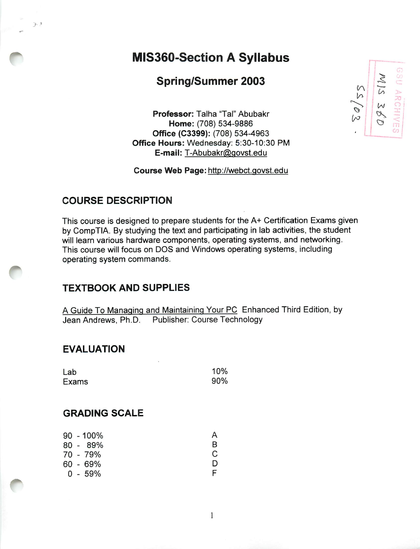# *MIS360-Section A Syllabus*

# **Spring/Summer 2003** *b*  $\begin{bmatrix} 2 \\ 3 \end{bmatrix}$

**Professor:** Talha "Tal" Abubakr  $\begin{bmatrix} \searrow \\ \searrow \end{bmatrix}$   $\begin{bmatrix} \omega \\ \omega \end{bmatrix}$ Home: (708) 534-9886 *Office (C3399):* (708) 534-4963 *Office Hours:* Wednesday: 5:30-10:30 PM *E-mail:* T-Abubakr@govst.edu

*Course Web Page:* http://webct.govst.edu

### *COURSE DESCRIPTION*

*I '*

This course is designed to prepare students for the A+ Certification Exams given by CompTIA. By studying the text and participating in lab activities, the student will learn various hardware components, operating systems, and networking. This course will focus on DOS and Windows operating systems, including operating system commands.

## *TEXTBOOK AND SUPPLIES*

A Guide To Managing and Maintaining Your PC Enhanced Third Edition, by Jean Andrews, Ph.D. Publisher: Course Technology

#### *EVALUATION*

| Lab<br>Exams | 10% |
|--------------|-----|
|              | 90% |

## *GRADING SCALE*

|  | A                                                          |
|--|------------------------------------------------------------|
|  | B                                                          |
|  | C                                                          |
|  | D                                                          |
|  |                                                            |
|  | 90 - 100%<br>80 - 89%<br>70 - 79%<br>60 - 69%<br>$0 - 59%$ |

**SU ARCHIV**  $\sqrt{ }$